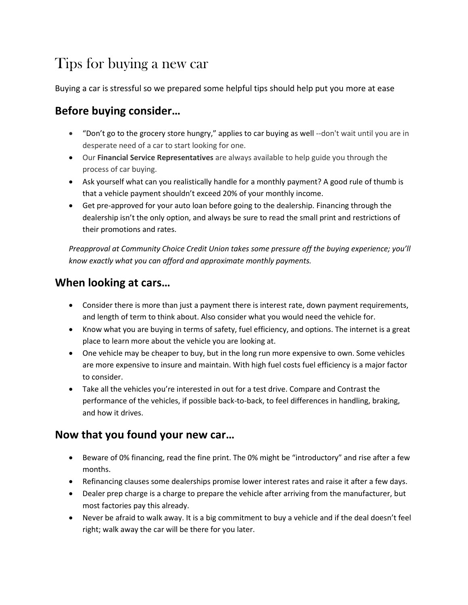# Tips for buying a new car

Buying a car is stressful so we prepared some helpful tips should help put you more at ease

### **Before buying consider…**

- "Don't go to the grocery store hungry," applies to car buying as well --don't wait until you are in desperate need of a car to start looking for one.
- Our **Financial Service Representatives** are always available to help guide you through the process of car buying.
- Ask yourself what can you realistically handle for a monthly payment? A good rule of thumb is that a vehicle payment shouldn't exceed 20% of your monthly income.
- Get pre-approved for your auto loan before going to the dealership. Financing through the dealership isn't the only option, and always be sure to read the small print and restrictions of their promotions and rates.

*Preapproval at Community Choice Credit Union takes some pressure off the buying experience; you'll know exactly what you can afford and approximate monthly payments.*

## **When looking at cars…**

- Consider there is more than just a payment there is interest rate, down payment requirements, and length of term to think about. Also consider what you would need the vehicle for.
- Know what you are buying in terms of safety, fuel efficiency, and options. The internet is a great place to learn more about the vehicle you are looking at.
- One vehicle may be cheaper to buy, but in the long run more expensive to own. Some vehicles are more expensive to insure and maintain. With high fuel costs fuel efficiency is a major factor to consider.
- Take all the vehicles you're interested in out for a test drive. Compare and Contrast the performance of the vehicles, if possible back-to-back, to feel differences in handling, braking, and how it drives.

#### **Now that you found your new car…**

- Beware of 0% financing, read the fine print. The 0% might be "introductory" and rise after a few months.
- Refinancing clauses some dealerships promise lower interest rates and raise it after a few days.
- Dealer prep charge is a charge to prepare the vehicle after arriving from the manufacturer, but most factories pay this already.
- Never be afraid to walk away. It is a big commitment to buy a vehicle and if the deal doesn't feel right; walk away the car will be there for you later.